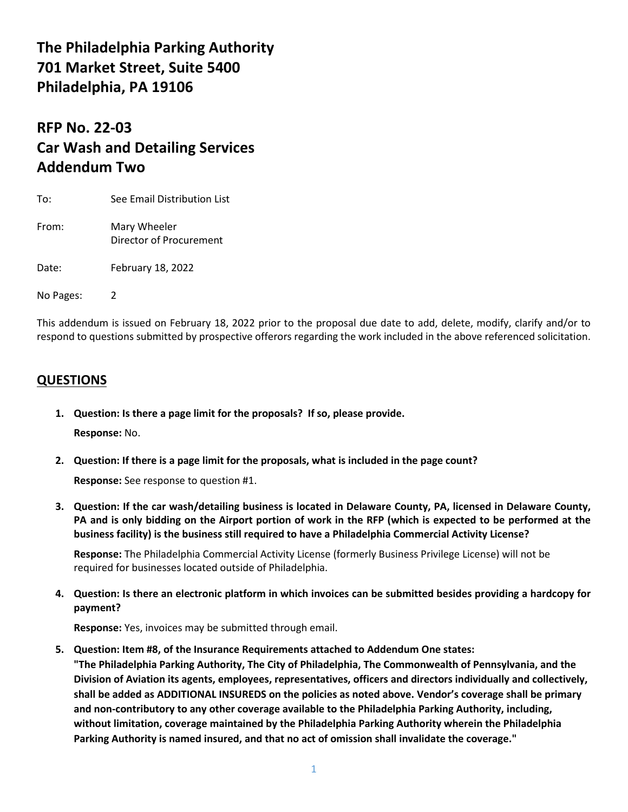## **The Philadelphia Parking Authority 701 Market Street, Suite 5400 Philadelphia, PA 19106**

## **RFP No. 22-03 Car Wash and Detailing Services Addendum Two**

| To:       | See Email Distribution List             |
|-----------|-----------------------------------------|
| From:     | Mary Wheeler<br>Director of Procurement |
| Date:     | February 18, 2022                       |
| No Pages: |                                         |

This addendum is issued on February 18, 2022 prior to the proposal due date to add, delete, modify, clarify and/or to respond to questions submitted by prospective offerors regarding the work included in the above referenced solicitation.

## **QUESTIONS**

- **1. Question: Is there a page limit for the proposals? If so, please provide. Response:** No.
- **2. Question: If there is a page limit for the proposals, what is included in the page count?**

**Response:** See response to question #1.

**3. Question: If the car wash/detailing business is located in Delaware County, PA, licensed in Delaware County, PA and is only bidding on the Airport portion of work in the RFP (which is expected to be performed at the business facility) is the business still required to have a Philadelphia Commercial Activity License?**

**Response:** The Philadelphia Commercial Activity License (formerly Business Privilege License) will not be required for businesses located outside of Philadelphia.

**4. Question: Is there an electronic platform in which invoices can be submitted besides providing a hardcopy for payment?**

**Response:** Yes, invoices may be submitted through email.

**5. Question: Item #8, of the Insurance Requirements attached to Addendum One states:**

**"The Philadelphia Parking Authority, The City of Philadelphia, The Commonwealth of Pennsylvania, and the Division of Aviation its agents, employees, representatives, officers and directors individually and collectively, shall be added as ADDITIONAL INSUREDS on the policies as noted above. Vendor's coverage shall be primary and non-contributory to any other coverage available to the Philadelphia Parking Authority, including, without limitation, coverage maintained by the Philadelphia Parking Authority wherein the Philadelphia Parking Authority is named insured, and that no act of omission shall invalidate the coverage."**